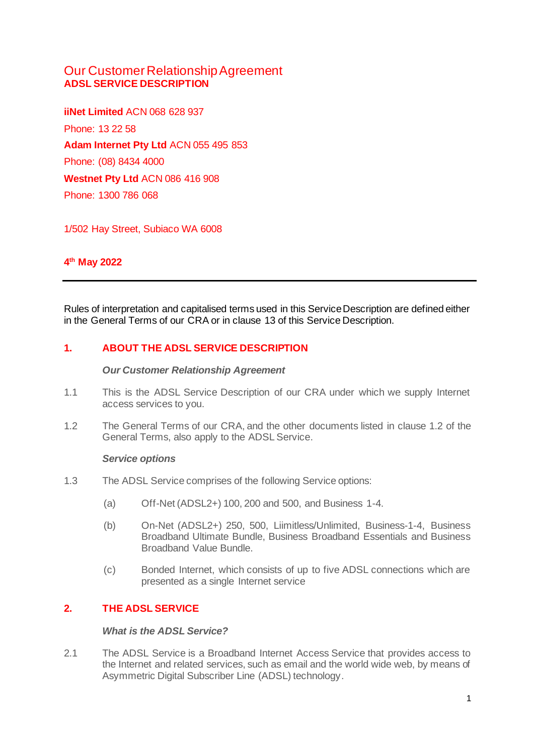# Our Customer Relationship Agreement **ADSL SERVICE DESCRIPTION**

**iiNet Limited** ACN 068 628 937 Phone: 13 22 58 **Adam Internet Pty Ltd** ACN 055 495 853 Phone: (08) 8434 4000 **Westnet Pty Ltd** ACN 086 416 908 Phone: 1300 786 068

1/502 Hay Street, Subiaco WA 6008

# **4 th May 2022**

Rules of interpretation and capitalised terms used in this Service Description are defined either in the General Terms of our CRA or in clause [13](#page-12-0) of this Service Description.

## **1. ABOUT THE ADSL SERVICE DESCRIPTION**

#### *Our Customer Relationship Agreement*

- 1.1 This is the ADSL Service Description of our CRA under which we supply Internet access services to you.
- 1.2 The General Terms of our CRA, and the other documents listed in clause 1.2 of the General Terms, also apply to the ADSL Service.

#### *Service options*

- 1.3 The ADSL Service comprises of the following Service options:
	- (a) Off-Net (ADSL2+) 100, 200 and 500, and Business 1-4.
	- (b) On-Net (ADSL2+) 250, 500, Liimitless/Unlimited, Business-1-4, Business Broadband Ultimate Bundle, Business Broadband Essentials and Business Broadband Value Bundle.
	- (c) Bonded Internet, which consists of up to five ADSL connections which are presented as a single Internet service

### **2. THE ADSL SERVICE**

#### *What is the ADSL Service?*

2.1 The ADSL Service is a Broadband Internet Access Service that provides access to the Internet and related services, such as email and the world wide web, by means of Asymmetric Digital Subscriber Line (ADSL) technology.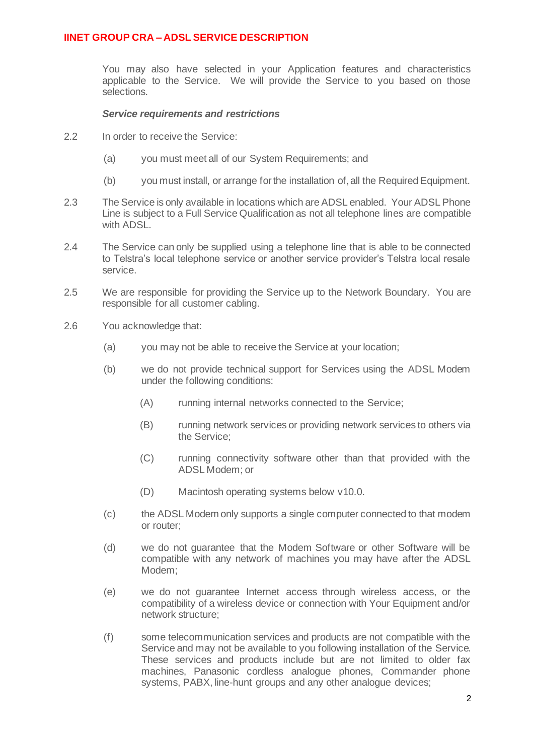You may also have selected in your Application features and characteristics applicable to the Service. We will provide the Service to you based on those selections.

#### *Service requirements and restrictions*

- 2.2 In order to receive the Service:
	- (a) you must meet all of our System Requirements; and
	- (b) you must install, or arrange for the installation of, all the Required Equipment.
- 2.3 The Service is only available in locations which are ADSL enabled. Your ADSL Phone Line is subject to a Full Service Qualification as not all telephone lines are compatible with ADSL.
- 2.4 The Service can only be supplied using a telephone line that is able to be connected to Telstra's local telephone service or another service provider's Telstra local resale service.
- 2.5 We are responsible for providing the Service up to the Network Boundary. You are responsible for all customer cabling.
- 2.6 You acknowledge that:
	- (a) you may not be able to receive the Service at your location;
	- (b) we do not provide technical support for Services using the ADSL Modem under the following conditions:
		- (A) running internal networks connected to the Service;
		- (B) running network services or providing network services to others via the Service;
		- (C) running connectivity software other than that provided with the ADSL Modem; or
		- (D) Macintosh operating systems below v10.0.
	- (c) the ADSL Modem only supports a single computer connected to that modem or router;
	- (d) we do not guarantee that the Modem Software or other Software will be compatible with any network of machines you may have after the ADSL Modem;
	- (e) we do not guarantee Internet access through wireless access, or the compatibility of a wireless device or connection with Your Equipment and/or network structure;
	- (f) some telecommunication services and products are not compatible with the Service and may not be available to you following installation of the Service. These services and products include but are not limited to older fax machines, Panasonic cordless analogue phones, Commander phone systems, PABX, line-hunt groups and any other analogue devices;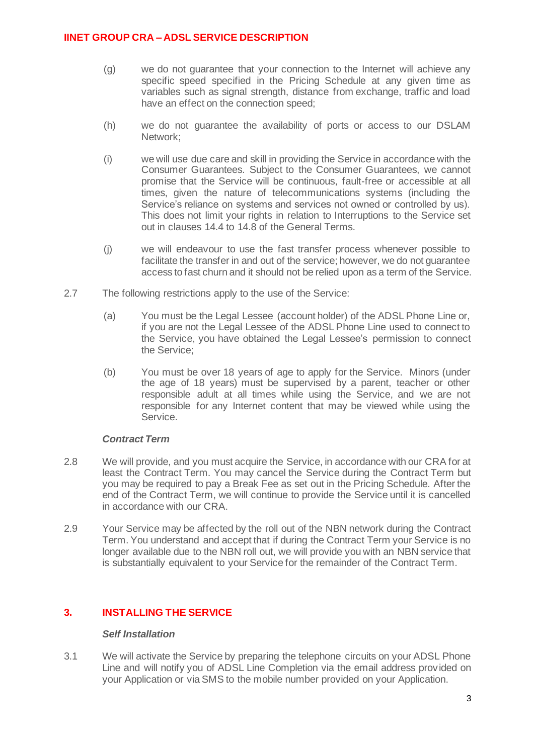- (g) we do not guarantee that your connection to the Internet will achieve any specific speed specified in the Pricing Schedule at any given time as variables such as signal strength, distance from exchange, traffic and load have an effect on the connection speed;
- (h) we do not guarantee the availability of ports or access to our DSLAM Network;
- (i) we will use due care and skill in providing the Service in accordance with the Consumer Guarantees. Subject to the Consumer Guarantees, we cannot promise that the Service will be continuous, fault-free or accessible at all times, given the nature of telecommunications systems (including the Service's reliance on systems and services not owned or controlled by us). This does not limit your rights in relation to Interruptions to the Service set out in clauses 14.4 to 14.8 of the General Terms.
- (j) we will endeavour to use the fast transfer process whenever possible to facilitate the transfer in and out of the service; however, we do not guarantee access to fast churn and it should not be relied upon as a term of the Service.
- 2.7 The following restrictions apply to the use of the Service:
	- (a) You must be the Legal Lessee (account holder) of the ADSL Phone Line or, if you are not the Legal Lessee of the ADSL Phone Line used to connect to the Service, you have obtained the Legal Lessee's permission to connect the Service;
	- (b) You must be over 18 years of age to apply for the Service. Minors (under the age of 18 years) must be supervised by a parent, teacher or other responsible adult at all times while using the Service, and we are not responsible for any Internet content that may be viewed while using the Service.

### *Contract Term*

- 2.8 We will provide, and you must acquire the Service, in accordance with our CRA for at least the Contract Term. You may cancel the Service during the Contract Term but you may be required to pay a Break Fee as set out in the Pricing Schedule. After the end of the Contract Term, we will continue to provide the Service until it is cancelled in accordance with our CRA.
- 2.9 Your Service may be affected by the roll out of the NBN network during the Contract Term. You understand and accept that if during the Contract Term your Service is no longer available due to the NBN roll out, we will provide you with an NBN service that is substantially equivalent to your Service for the remainder of the Contract Term.

## **3. INSTALLING THE SERVICE**

### *Self Installation*

3.1 We will activate the Service by preparing the telephone circuits on your ADSL Phone Line and will notify you of ADSL Line Completion via the email address provided on your Application or via SMS to the mobile number provided on your Application.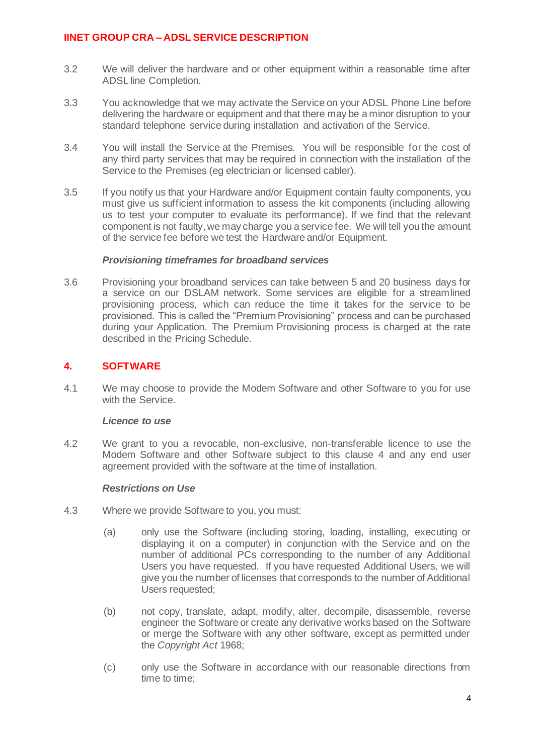- 3.2 We will deliver the hardware and or other equipment within a reasonable time after ADSL line Completion.
- 3.3 You acknowledge that we may activate the Service on your ADSL Phone Line before delivering the hardware or equipment and that there may be a minor disruption to your standard telephone service during installation and activation of the Service.
- 3.4 You will install the Service at the Premises. You will be responsible for the cost of any third party services that may be required in connection with the installation of the Service to the Premises (eg electrician or licensed cabler).
- 3.5 If you notify us that your Hardware and/or Equipment contain faulty components, you must give us sufficient information to assess the kit components (including allowing us to test your computer to evaluate its performance). If we find that the relevant component is not faulty, we may charge you a service fee. We will tell you the amount of the service fee before we test the Hardware and/or Equipment.

#### *Provisioning timeframes for broadband services*

3.6 Provisioning your broadband services can take between 5 and 20 business days for a service on our DSLAM network. Some services are eligible for a streamlined provisioning process, which can reduce the time it takes for the service to be provisioned. This is called the "Premium Provisioning" process and can be purchased during your Application. The Premium Provisioning process is charged at the rate described in the Pricing Schedule.

### <span id="page-3-0"></span>**4. SOFTWARE**

4.1 We may choose to provide the Modem Software and other Software to you for use with the Service.

### *Licence to use*

4.2 We grant to you a revocable, non-exclusive, non-transferable licence to use the Modem Software and other Software subject to this clause [4](#page-3-0) and any end user agreement provided with the software at the time of installation.

### *Restrictions on Use*

- 4.3 Where we provide Software to you, you must:
	- (a) only use the Software (including storing, loading, installing, executing or displaying it on a computer) in conjunction with the Service and on the number of additional PCs corresponding to the number of any Additional Users you have requested. If you have requested Additional Users, we will give you the number of licenses that corresponds to the number of Additional Users requested;
	- (b) not copy, translate, adapt, modify, alter, decompile, disassemble, reverse engineer the Software or create any derivative works based on the Software or merge the Software with any other software, except as permitted under the *Copyright Act* 1968;
	- (c) only use the Software in accordance with our reasonable directions from time to time;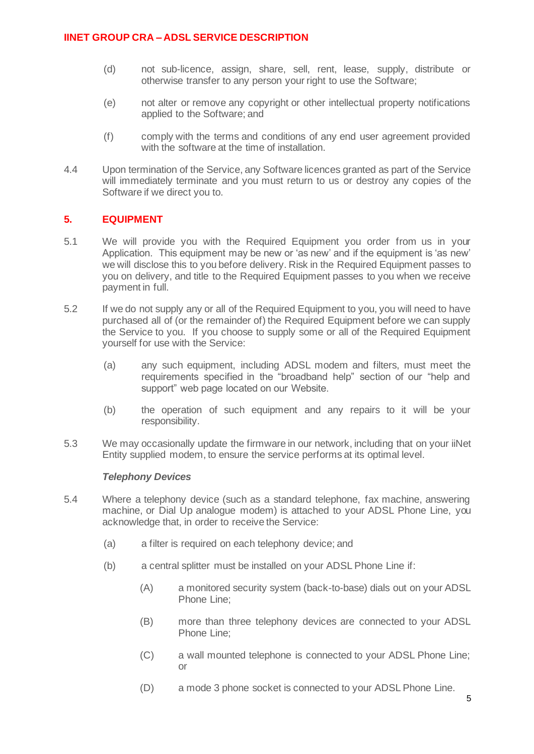- (d) not sub-licence, assign, share, sell, rent, lease, supply, distribute or otherwise transfer to any person your right to use the Software;
- (e) not alter or remove any copyright or other intellectual property notifications applied to the Software; and
- (f) comply with the terms and conditions of any end user agreement provided with the software at the time of installation.
- 4.4 Upon termination of the Service, any Software licences granted as part of the Service will immediately terminate and you must return to us or destroy any copies of the Software if we direct you to.

### **5. EQUIPMENT**

- 5.1 We will provide you with the Required Equipment you order from us in your Application. This equipment may be new or 'as new' and if the equipment is 'as new' we will disclose this to you before delivery. Risk in the Required Equipment passes to you on delivery, and title to the Required Equipment passes to you when we receive payment in full.
- 5.2 If we do not supply any or all of the Required Equipment to you, you will need to have purchased all of (or the remainder of) the Required Equipment before we can supply the Service to you. If you choose to supply some or all of the Required Equipment yourself for use with the Service:
	- (a) any such equipment, including ADSL modem and filters, must meet the requirements specified in the "broadband help" section of our "help and support" web page located on our Website.
	- (b) the operation of such equipment and any repairs to it will be your responsibility.
- 5.3 We may occasionally update the firmware in our network, including that on your iiNet Entity supplied modem, to ensure the service performs at its optimal level.

### *Telephony Devices*

- 5.4 Where a telephony device (such as a standard telephone, fax machine, answering machine, or Dial Up analogue modem) is attached to your ADSL Phone Line, you acknowledge that, in order to receive the Service:
	- (a) a filter is required on each telephony device; and
	- (b) a central splitter must be installed on your ADSL Phone Line if:
		- (A) a monitored security system (back-to-base) dials out on your ADSL Phone Line;
		- (B) more than three telephony devices are connected to your ADSL Phone Line;
		- (C) a wall mounted telephone is connected to your ADSL Phone Line; or
		- (D) a mode 3 phone socket is connected to your ADSL Phone Line.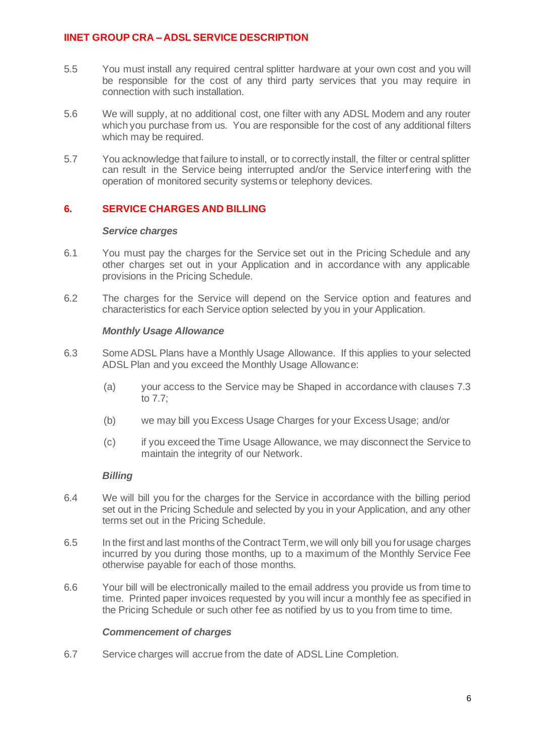- 5.5 You must install any required central splitter hardware at your own cost and you will be responsible for the cost of any third party services that you may require in connection with such installation.
- 5.6 We will supply, at no additional cost, one filter with any ADSL Modem and any router which you purchase from us. You are responsible for the cost of any additional filters which may be required.
- 5.7 You acknowledge that failure to install, or to correctly install, the filter or central splitter can result in the Service being interrupted and/or the Service interfering with the operation of monitored security systems or telephony devices.

## **6. SERVICE CHARGES AND BILLING**

#### *Service charges*

- 6.1 You must pay the charges for the Service set out in the Pricing Schedule and any other charges set out in your Application and in accordance with any applicable provisions in the Pricing Schedule.
- 6.2 The charges for the Service will depend on the Service option and features and characteristics for each Service option selected by you in your Application.

### *Monthly Usage Allowance*

- 6.3 Some ADSL Plans have a Monthly Usage Allowance. If this applies to your selected ADSL Plan and you exceed the Monthly Usage Allowance:
	- (a) your access to the Service may be Shaped in accordance with clauses [7.3](#page-7-0) to [7.7;](#page-7-1)
	- (b) we may bill you Excess Usage Charges for your Excess Usage; and/or
	- (c) if you exceed the Time Usage Allowance, we may disconnect the Service to maintain the integrity of our Network.

### *Billing*

- 6.4 We will bill you for the charges for the Service in accordance with the billing period set out in the Pricing Schedule and selected by you in your Application, and any other terms set out in the Pricing Schedule.
- 6.5 In the first and last months of the Contract Term, we will only bill you for usage charges incurred by you during those months, up to a maximum of the Monthly Service Fee otherwise payable for each of those months.
- 6.6 Your bill will be electronically mailed to the email address you provide us from time to time. Printed paper invoices requested by you will incur a monthly fee as specified in the Pricing Schedule or such other fee as notified by us to you from time to time.

#### *Commencement of charges*

<span id="page-5-0"></span>6.7 Service charges will accrue from the date of ADSL Line Completion.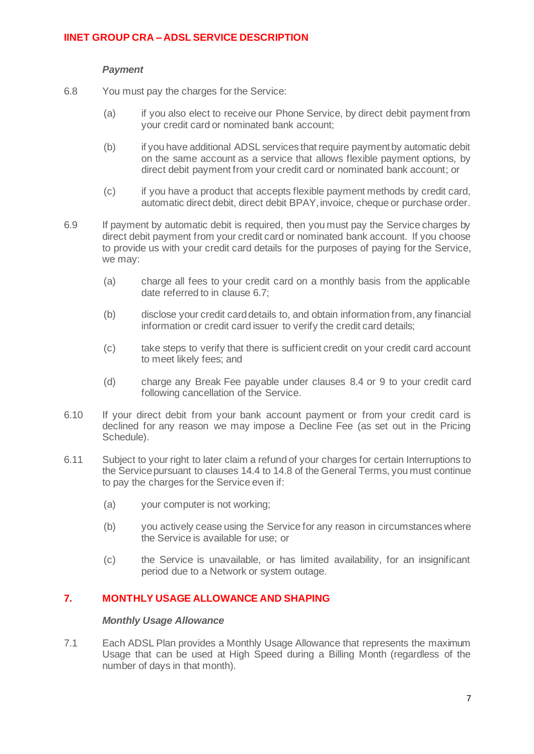### *Payment*

- 6.8 You must pay the charges for the Service:
	- (a) if you also elect to receive our Phone Service, by direct debit payment from your credit card or nominated bank account;
	- (b) if you have additional ADSL services that require payment by automatic debit on the same account as a service that allows flexible payment options, by direct debit payment from your credit card or nominated bank account; or
	- (c) if you have a product that accepts flexible payment methods by credit card, automatic direct debit, direct debit BPAY, invoice, cheque or purchase order.
- 6.9 If payment by automatic debit is required, then you must pay the Service charges by direct debit payment from your credit card or nominated bank account. If you choose to provide us with your credit card details for the purposes of paying for the Service, we may:
	- (a) charge all fees to your credit card on a monthly basis from the applicable date referred to in clause [6.7;](#page-5-0)
	- (b) disclose your credit card details to, and obtain information from, any financial information or credit card issuer to verify the credit card details;
	- (c) take steps to verify that there is sufficient credit on your credit card account to meet likely fees; and
	- (d) charge any Break Fee payable under clauses [8.4](#page-7-2) or [9](#page-8-0) to your credit card following cancellation of the Service.
- 6.10 If your direct debit from your bank account payment or from your credit card is declined for any reason we may impose a Decline Fee (as set out in the Pricing Schedule).
- 6.11 Subject to your right to later claim a refund of your charges for certain Interruptions to the Service pursuant to clauses 14.4 to 14.8 of the General Terms, you must continue to pay the charges for the Service even if:
	- (a) your computer is not working;
	- (b) you actively cease using the Service for any reason in circumstances where the Service is available for use; or
	- (c) the Service is unavailable, or has limited availability, for an insignificant period due to a Network or system outage.

### **7. MONTHLY USAGE ALLOWANCE AND SHAPING**

#### *Monthly Usage Allowance*

7.1 Each ADSL Plan provides a Monthly Usage Allowance that represents the maximum Usage that can be used at High Speed during a Billing Month (regardless of the number of days in that month).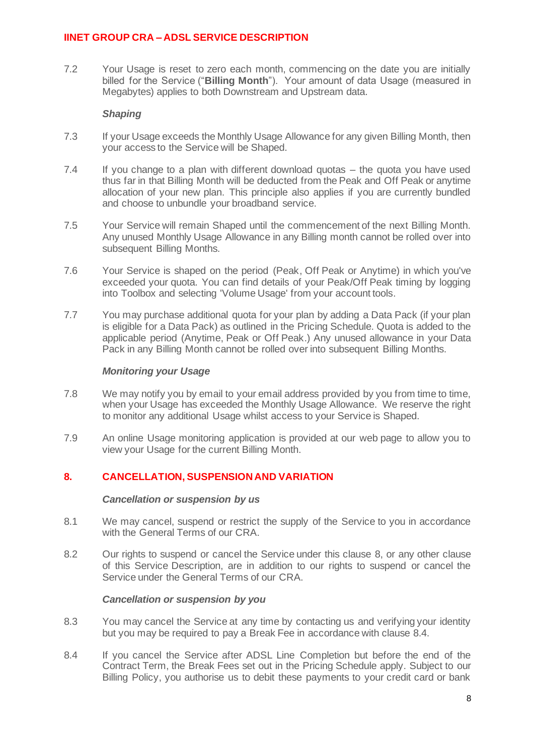<span id="page-7-4"></span>7.2 Your Usage is reset to zero each month, commencing on the date you are initially billed for the Service ("**Billing Month**"). Your amount of data Usage (measured in Megabytes) applies to both Downstream and Upstream data.

### *Shaping*

- <span id="page-7-0"></span>7.3 If your Usage exceeds the Monthly Usage Allowance for any given Billing Month, then your access to the Service will be Shaped.
- 7.4 If you change to a plan with different download quotas the quota you have used thus far in that Billing Month will be deducted from the Peak and Off Peak or anytime allocation of your new plan. This principle also applies if you are currently bundled and choose to unbundle your broadband service.
- 7.5 Your Service will remain Shaped until the commencement of the next Billing Month. Any unused Monthly Usage Allowance in any Billing month cannot be rolled over into subsequent Billing Months.
- 7.6 Your Service is shaped on the period (Peak, Off Peak or Anytime) in which you've exceeded your quota. You can find details of your Peak/Off Peak timing by logging into Toolbox and selecting 'Volume Usage' from your account tools.
- <span id="page-7-1"></span>7.7 You may purchase additional quota for your plan by adding a Data Pack (if your plan is eligible for a Data Pack) as outlined in the Pricing Schedule. Quota is added to the applicable period (Anytime, Peak or Off Peak.) Any unused allowance in your Data Pack in any Billing Month cannot be rolled over into subsequent Billing Months.

### *Monitoring your Usage*

- 7.8 We may notify you by email to your email address provided by you from time to time, when your Usage has exceeded the Monthly Usage Allowance. We reserve the right to monitor any additional Usage whilst access to your Service is Shaped.
- 7.9 An online Usage monitoring application is provided at our web page to allow you to view your Usage for the current Billing Month.

# <span id="page-7-3"></span>**8. CANCELLATION, SUSPENSION AND VARIATION**

### *Cancellation or suspension by us*

- 8.1 We may cancel, suspend or restrict the supply of the Service to you in accordance with the General Terms of our CRA.
- 8.2 Our rights to suspend or cancel the Service under this clause [8,](#page-7-3) or any other clause of this Service Description, are in addition to our rights to suspend or cancel the Service under the General Terms of our CRA.

### *Cancellation or suspension by you*

- 8.3 You may cancel the Service at any time by contacting us and verifying your identity but you may be required to pay a Break Fee in accordance with clause [8.4.](#page-7-2)
- <span id="page-7-2"></span>8.4 If you cancel the Service after ADSL Line Completion but before the end of the Contract Term, the Break Fees set out in the Pricing Schedule apply. Subject to our Billing Policy, you authorise us to debit these payments to your credit card or bank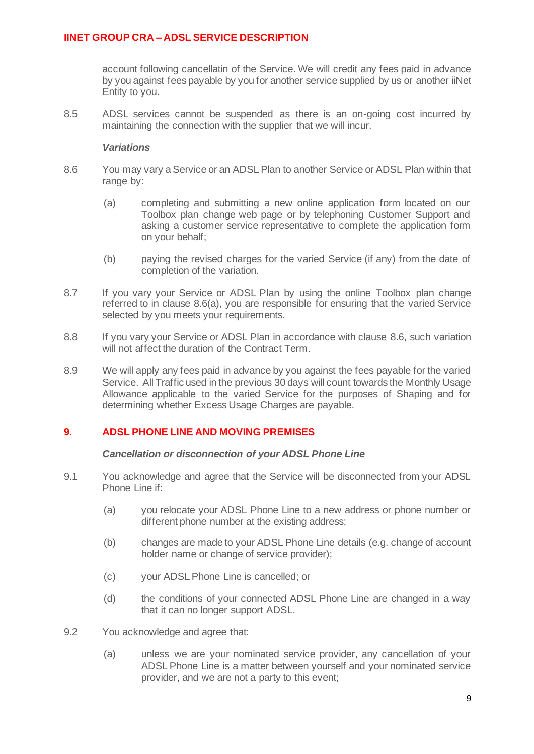account following cancellatin of the Service. We will credit any fees paid in advance by you against fees payable by you for another service supplied by us or another iiNet Entity to you.

8.5 ADSL services cannot be suspended as there is an on-going cost incurred by maintaining the connection with the supplier that we will incur.

#### *Variations*

- <span id="page-8-2"></span><span id="page-8-1"></span>8.6 You may vary a Service or an ADSL Plan to another Service or ADSL Plan within that range by:
	- (a) completing and submitting a new online application form located on our Toolbox plan change web page or by telephoning Customer Support and asking a customer service representative to complete the application form on your behalf;
	- (b) paying the revised charges for the varied Service (if any) from the date of completion of the variation.
- 8.7 If you vary your Service or ADSL Plan by using the online Toolbox plan change referred to in clause [8.6\(a\),](#page-8-1) you are responsible for ensuring that the varied Service selected by you meets your requirements.
- 8.8 If you vary your Service or ADSL Plan in accordance with clause [8.6,](#page-8-2) such variation will not affect the duration of the Contract Term.
- 8.9 We will apply any fees paid in advance by you against the fees payable for the varied Service. All Traffic used in the previous 30 days will count towards the Monthly Usage Allowance applicable to the varied Service for the purposes of Shaping and for determining whether Excess Usage Charges are payable.

### <span id="page-8-0"></span>**9. ADSL PHONE LINE AND MOVING PREMISES**

#### *Cancellation or disconnection of your ADSL Phone Line*

- 9.1 You acknowledge and agree that the Service will be disconnected from your ADSL Phone Line if:
	- (a) you relocate your ADSL Phone Line to a new address or phone number or different phone number at the existing address;
	- (b) changes are made to your ADSL Phone Line details (e.g. change of account holder name or change of service provider);
	- (c) your ADSL Phone Line is cancelled; or
	- (d) the conditions of your connected ADSL Phone Line are changed in a way that it can no longer support ADSL.
- 9.2 You acknowledge and agree that:
	- (a) unless we are your nominated service provider, any cancellation of your ADSL Phone Line is a matter between yourself and your nominated service provider, and we are not a party to this event;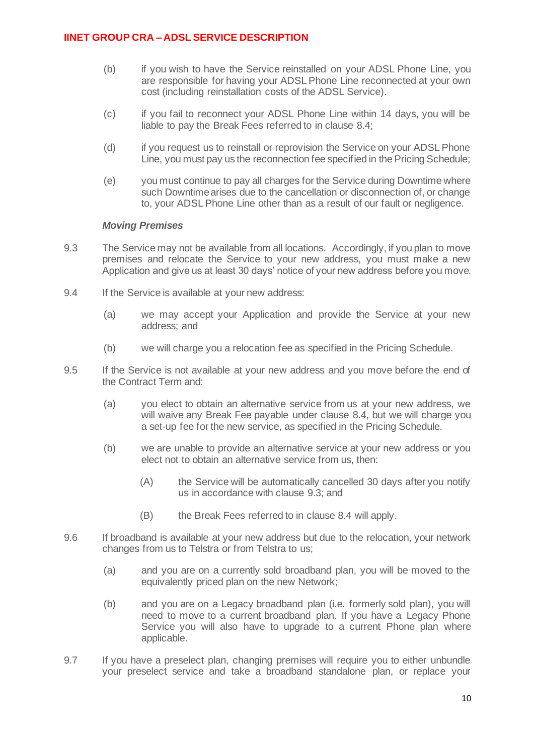- (b) if you wish to have the Service reinstalled on your ADSL Phone Line, you are responsible for having your ADSL Phone Line reconnected at your own cost (including reinstallation costs of the ADSL Service).
- (c) if you fail to reconnect your ADSL Phone Line within 14 days, you will be liable to pay the Break Fees referred to in clause [8.4;](#page-7-2)
- (d) if you request us to reinstall or reprovision the Service on your ADSL Phone Line, you must pay us the reconnection fee specified in the Pricing Schedule;
- (e) you must continue to pay all charges for the Service during Downtime where such Downtime arises due to the cancellation or disconnection of, or change to, your ADSL Phone Line other than as a result of our fault or negligence.

### *Moving Premises*

- <span id="page-9-0"></span>9.3 The Service may not be available from all locations. Accordingly, if you plan to move premises and relocate the Service to your new address, you must make a new Application and give us at least 30 days' notice of your new address before you move.
- 9.4 If the Service is available at your new address:
	- (a) we may accept your Application and provide the Service at your new address; and
	- (b) we will charge you a relocation fee as specified in the Pricing Schedule.
- 9.5 If the Service is not available at your new address and you move before the end of the Contract Term and:
	- (a) you elect to obtain an alternative service from us at your new address, we will waive any Break Fee payable under clause [8.4,](#page-7-2) but we will charge you a set-up fee for the new service, as specified in the Pricing Schedule.
	- (b) we are unable to provide an alternative service at your new address or you elect not to obtain an alternative service from us, then:
		- (A) the Service will be automatically cancelled 30 days after you notify us in accordance with clause [9.3;](#page-9-0) and
		- (B) the Break Fees referred to in clause [8.4](#page-7-2) will apply.
- 9.6 If broadband is available at your new address but due to the relocation, your network changes from us to Telstra or from Telstra to us;
	- (a) and you are on a currently sold broadband plan, you will be moved to the equivalently priced plan on the new Network;
	- (b) and you are on a Legacy broadband plan (i.e. formerly sold plan), you will need to move to a current broadband plan. If you have a Legacy Phone Service you will also have to upgrade to a current Phone plan where applicable.
- 9.7 If you have a preselect plan, changing premises will require you to either unbundle your preselect service and take a broadband standalone plan, or replace your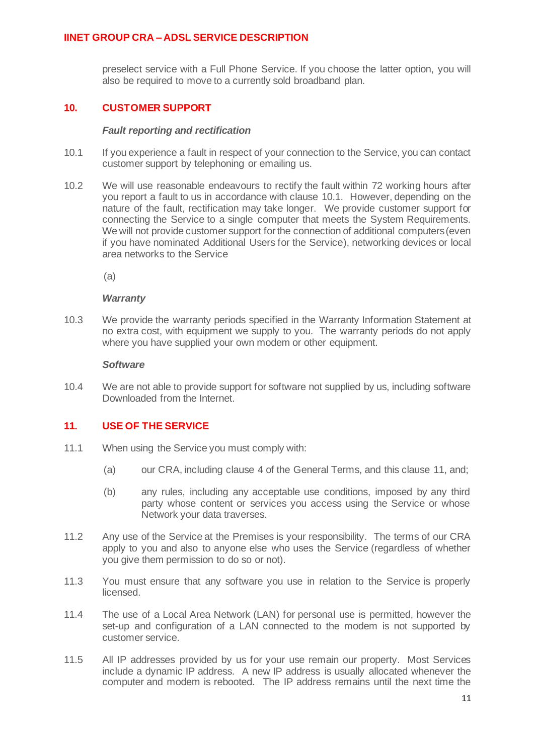preselect service with a Full Phone Service. If you choose the latter option, you will also be required to move to a currently sold broadband plan.

### **10. CUSTOMER SUPPORT**

### *Fault reporting and rectification*

- <span id="page-10-0"></span>10.1 If you experience a fault in respect of your connection to the Service, you can contact customer support by telephoning or emailing us.
- 10.2 We will use reasonable endeavours to rectify the fault within 72 working hours after you report a fault to us in accordance with clause [10.1.](#page-10-0) However, depending on the nature of the fault, rectification may take longer. We provide customer support for connecting the Service to a single computer that meets the System Requirements. We will not provide customer support for the connection of additional computers (even if you have nominated Additional Users for the Service), networking devices or local area networks to the Service

 $(a)$ 

#### *Warranty*

10.3 We provide the warranty periods specified in the Warranty Information Statement at no extra cost, with equipment we supply to you. The warranty periods do not apply where you have supplied your own modem or other equipment.

#### *Software*

10.4 We are not able to provide support for software not supplied by us, including software Downloaded from the Internet.

### <span id="page-10-1"></span>**11. USE OF THE SERVICE**

- 11.1 When using the Service you must comply with:
	- (a) our CRA, including clause 4 of the General Terms, and this clause [11,](#page-10-1) and;
	- (b) any rules, including any acceptable use conditions, imposed by any third party whose content or services you access using the Service or whose Network your data traverses.
- 11.2 Any use of the Service at the Premises is your responsibility. The terms of our CRA apply to you and also to anyone else who uses the Service (regardless of whether you give them permission to do so or not).
- 11.3 You must ensure that any software you use in relation to the Service is properly licensed.
- 11.4 The use of a Local Area Network (LAN) for personal use is permitted, however the set-up and configuration of a LAN connected to the modem is not supported by customer service.
- 11.5 All IP addresses provided by us for your use remain our property. Most Services include a dynamic IP address. A new IP address is usually allocated whenever the computer and modem is rebooted. The IP address remains until the next time the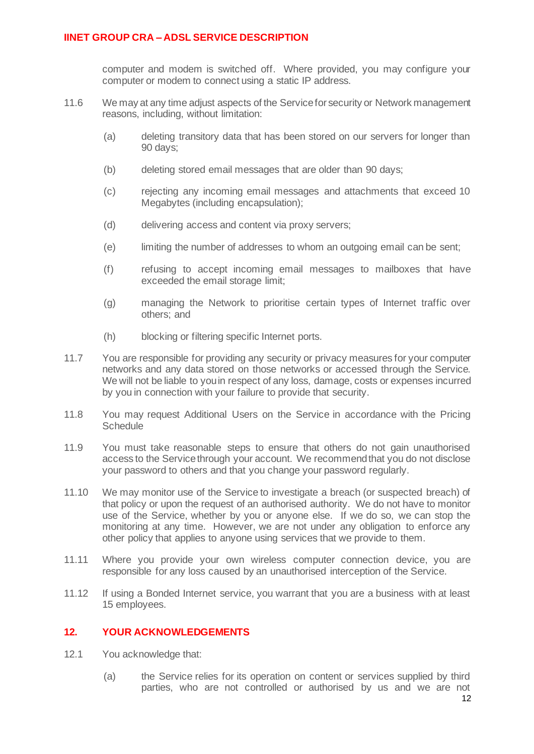computer and modem is switched off. Where provided, you may configure your computer or modem to connect using a static IP address.

- 11.6 We may at any time adjust aspects of the Service for security or Network management reasons, including, without limitation:
	- (a) deleting transitory data that has been stored on our servers for longer than 90 days;
	- (b) deleting stored email messages that are older than 90 days;
	- (c) rejecting any incoming email messages and attachments that exceed 10 Megabytes (including encapsulation);
	- (d) delivering access and content via proxy servers;
	- (e) limiting the number of addresses to whom an outgoing email can be sent;
	- (f) refusing to accept incoming email messages to mailboxes that have exceeded the email storage limit;
	- (g) managing the Network to prioritise certain types of Internet traffic over others; and
	- (h) blocking or filtering specific Internet ports.
- 11.7 You are responsible for providing any security or privacy measures for your computer networks and any data stored on those networks or accessed through the Service. We will not be liable to you in respect of any loss, damage, costs or expenses incurred by you in connection with your failure to provide that security.
- 11.8 You may request Additional Users on the Service in accordance with the Pricing **Schedule**
- 11.9 You must take reasonable steps to ensure that others do not gain unauthorised access to the Service through your account. We recommend that you do not disclose your password to others and that you change your password regularly.
- 11.10 We may monitor use of the Service to investigate a breach (or suspected breach) of that policy or upon the request of an authorised authority. We do not have to monitor use of the Service, whether by you or anyone else. If we do so, we can stop the monitoring at any time. However, we are not under any obligation to enforce any other policy that applies to anyone using services that we provide to them.
- 11.11 Where you provide your own wireless computer connection device, you are responsible for any loss caused by an unauthorised interception of the Service.
- 11.12 If using a Bonded Internet service, you warrant that you are a business with at least 15 employees.

### **12. YOUR ACKNOWLEDGEMENTS**

- 12.1 You acknowledge that:
	- (a) the Service relies for its operation on content or services supplied by third parties, who are not controlled or authorised by us and we are not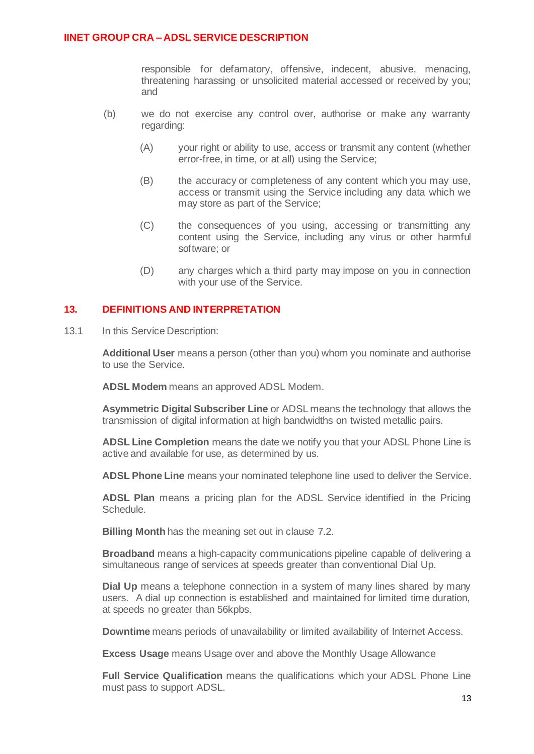responsible for defamatory, offensive, indecent, abusive, menacing, threatening harassing or unsolicited material accessed or received by you; and

- (b) we do not exercise any control over, authorise or make any warranty regarding:
	- (A) your right or ability to use, access or transmit any content (whether error-free, in time, or at all) using the Service;
	- (B) the accuracy or completeness of any content which you may use, access or transmit using the Service including any data which we may store as part of the Service;
	- (C) the consequences of you using, accessing or transmitting any content using the Service, including any virus or other harmful software; or
	- (D) any charges which a third party may impose on you in connection with your use of the Service.

### <span id="page-12-0"></span>**13. DEFINITIONS AND INTERPRETATION**

13.1 In this Service Description:

**Additional User** means a person (other than you) whom you nominate and authorise to use the Service.

**ADSL Modem** means an approved ADSL Modem.

**Asymmetric Digital Subscriber Line** or ADSL means the technology that allows the transmission of digital information at high bandwidths on twisted metallic pairs.

**ADSL Line Completion** means the date we notify you that your ADSL Phone Line is active and available for use, as determined by us.

**ADSL Phone Line** means your nominated telephone line used to deliver the Service.

**ADSL Plan** means a pricing plan for the ADSL Service identified in the Pricing Schedule.

**Billing Month** has the meaning set out in clause [7.2.](#page-7-4)

**Broadband** means a high-capacity communications pipeline capable of delivering a simultaneous range of services at speeds greater than conventional Dial Up.

**Dial Up** means a telephone connection in a system of many lines shared by many users. A dial up connection is established and maintained for limited time duration, at speeds no greater than 56kpbs.

**Downtime** means periods of unavailability or limited availability of Internet Access.

**Excess Usage** means Usage over and above the Monthly Usage Allowance

**Full Service Qualification** means the qualifications which your ADSL Phone Line must pass to support ADSL.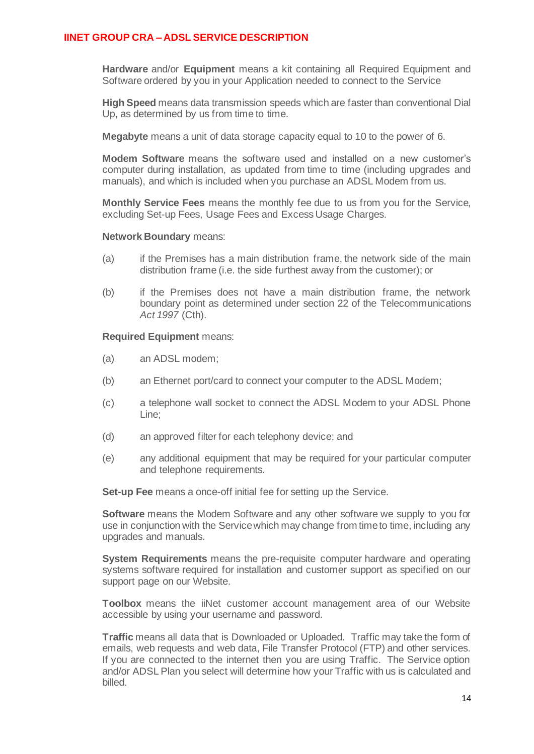**Hardware** and/or **Equipment** means a kit containing all Required Equipment and Software ordered by you in your Application needed to connect to the Service

**High Speed** means data transmission speeds which are faster than conventional Dial Up, as determined by us from time to time.

**Megabyte** means a unit of data storage capacity equal to 10 to the power of 6.

**Modem Software** means the software used and installed on a new customer's computer during installation, as updated from time to time (including upgrades and manuals), and which is included when you purchase an ADSL Modem from us.

**Monthly Service Fees** means the monthly fee due to us from you for the Service, excluding Set-up Fees, Usage Fees and Excess Usage Charges.

#### **Network Boundary** means:

- (a) if the Premises has a main distribution frame, the network side of the main distribution frame (i.e. the side furthest away from the customer); or
- (b) if the Premises does not have a main distribution frame, the network boundary point as determined under section 22 of the Telecommunications *Act 1997* (Cth).

#### **Required Equipment** means:

- (a) an ADSL modem;
- (b) an Ethernet port/card to connect your computer to the ADSL Modem;
- (c) a telephone wall socket to connect the ADSL Modem to your ADSL Phone Line;
- (d) an approved filter for each telephony device; and
- (e) any additional equipment that may be required for your particular computer and telephone requirements.

**Set-up Fee** means a once-off initial fee for setting up the Service.

**Software** means the Modem Software and any other software we supply to you for use in conjunction with the Service which may change from time to time, including any upgrades and manuals.

**System Requirements** means the pre-requisite computer hardware and operating systems software required for installation and customer support as specified on our support page on our Website.

**Toolbox** means the iiNet customer account management area of our Website accessible by using your username and password.

**Traffic** means all data that is Downloaded or Uploaded. Traffic may take the form of emails, web requests and web data, File Transfer Protocol (FTP) and other services. If you are connected to the internet then you are using Traffic. The Service option and/or ADSL Plan you select will determine how your Traffic with us is calculated and billed.